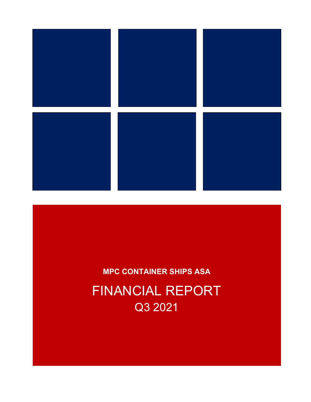

# MPC CONTAINER SHIPS ASA FINANCIAL REPORT Q3 2021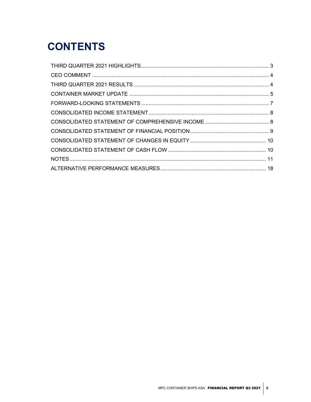# **CONTENTS**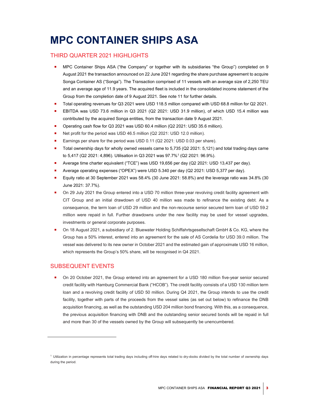# MPC CONTAINER SHIPS ASA

# THIRD QUARTER 2021 HIGHLIGHTS

- MPC Container Ships ASA ("the Company" or together with its subsidiaries "the Group") completed on 9 August 2021 the transaction announced on 22 June 2021 regarding the share purchase agreement to acquire Songa Container AS ("Songa"). The Transaction comprised of 11 vessels with an average size of 2,250 TEU and an average age of 11.9 years. The acquired fleet is included in the consolidated income statement of the Group from the completion date of 9 August 2021. See note 11 for further details.
- Total operating revenues for Q3 2021 were USD 118.5 million compared with USD 68.8 million for Q2 2021.
- EBITDA was USD 73.6 million in Q3 2021 (Q2 2021: USD 31.9 million), of which USD 15.4 million was contributed by the acquired Songa entities, from the transaction date 9 August 2021.
- Operating cash flow for Q3 2021 was USD 60.4 million (Q2 2021: USD 35.6 million).
- Net profit for the period was USD 46.5 million (Q2 2021: USD 12.0 million).
- Earnings per share for the period was USD 0.11 (Q2 2021: USD 0.03 per share).
- Total ownership days for wholly owned vessels came to 5,735 (Q2 2021: 5,121) and total trading days came to 5,417 (Q2 2021: 4,896). Utilisation in Q3 2021 was 97.7%<sup>1</sup> (Q2 2021: 96.9%).
- Average time charter equivalent ("TCE") was USD 19,656 per day (Q2 2021: USD 13,437 per day).
- Average operating expenses ("OPEX") were USD 5.340 per day (Q2 2021: USD 5,377 per day).
- Equity ratio at 30 September 2021 was 58.4% (30 June 2021: 58.8%) and the leverage ratio was 34.8% (30 June 2021: 37.7%).
- On 29 July 2021 the Group entered into a USD 70 million three-year revolving credit facility agreement with CIT Group and an initial drawdown of USD 40 million was made to refinance the existing debt. As a consequence, the term loan of USD 29 million and the non-recourse senior secured term loan of USD 59.2 million were repaid in full. Further drawdowns under the new facility may be used for vessel upgrades, investments or general corporate purposes.
- On 18 August 2021, a subsidiary of 2. Bluewater Holding Schiffahrtsgesellschaft GmbH & Co. KG, where the Group has a 50% interest, entered into an agreement for the sale of AS Cordelia for USD 39.0 million. The vessel was delivered to its new owner in October 2021 and the estimated gain of approximate USD 16 million, which represents the Group's 50% share, will be recognised in Q4 2021.

# SUBSEQUENT EVENTS

 On 20 October 2021, the Group entered into an agreement for a USD 180 million five-year senior secured credit facility with Hamburg Commercial Bank ("HCOB"). The credit facility consists of a USD 130 million term loan and a revolving credit facility of USD 50 million. During Q4 2021, the Group intends to use the credit facility, together with parts of the proceeds from the vessel sales (as set out below) to refinance the DNB acquisition financing, as well as the outstanding USD 204 million bond financing. With this, as a consequence, the previous acquisition financing with DNB and the outstanding senior secured bonds will be repaid in full and more than 30 of the vessels owned by the Group will subsequently be unencumbered.

<sup>1</sup> Utilization in percentage represents total trading days including off-hire days related to dry-docks divided by the total number of ownership days during the period.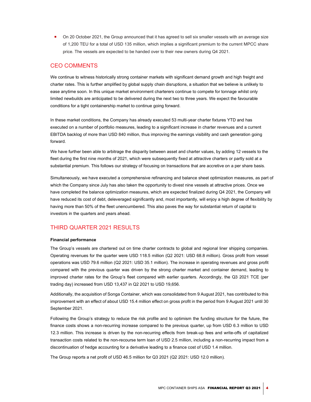On 20 October 2021, the Group announced that it has agreed to sell six smaller vessels with an average size of 1,200 TEU for a total of USD 135 million, which implies a significant premium to the current MPCC share price. The vessels are expected to be handed over to their new owners during Q4 2021.

# CEO COMMENTS

We continue to witness historically strong container markets with significant demand growth and high freight and charter rates. This is further amplified by global supply chain disruptions, a situation that we believe is unlikely to ease anytime soon. In this unique market environment charterers continue to compete for tonnage whilst only limited newbuilds are anticipated to be delivered during the next two to three years. We expect the favourable conditions for a tight containership market to continue going forward.

In these market conditions, the Company has already executed 53 multi-year charter fixtures YTD and has executed on a number of portfolio measures, leading to a significant increase in charter revenues and a current EBITDA backlog of more than USD 840 million, thus improving the earnings visibility and cash generation going forward.

We have further been able to arbitrage the disparity between asset and charter values, by adding 12 vessels to the fleet during the first nine months of 2021, which were subsequently fixed at attractive charters or partly sold at a substantial premium. This follows our strategy of focusing on transactions that are accretive on a per share basis.

Simultaneously, we have executed a comprehensive refinancing and balance sheet optimization measures, as part of which the Company since July has also taken the opportunity to divest nine vessels at attractive prices. Once we have completed the balance optimization measures, which are expected finalized during Q4 2021, the Company will have reduced its cost of debt, deleveraged significantly and, most importantly, will enjoy a high degree of flexibility by having more than 50% of the fleet unencumbered. This also paves the way for substantial return of capital to investors in the quarters and years ahead.

# THIRD QUARTER 2021 RESULTS

## Financial performance

The Group's vessels are chartered out on time charter contracts to global and regional liner shipping companies. Operating revenues for the quarter were USD 118.5 million (Q2 2021: USD 68.8 million). Gross profit from vessel operations was USD 79.6 million (Q2 2021: USD 35.1 million). The increase in operating revenues and gross profit compared with the previous quarter was driven by the strong charter market and container demand, leading to improved charter rates for the Group's fleet compared with earlier quarters. Accordingly, the Q3 2021 TCE (per trading day) increased from USD 13,437 in Q2 2021 to USD 19,656.

Additionally, the acquisition of Songa Container, which was consolidated from 9 August 2021, has contributed to this improvement with an effect of about USD 15.4 million effect on gross profit in the period from 9 August 2021 until 30 September 2021.

Following the Group's strategy to reduce the risk profile and to optimism the funding structure for the future, the finance costs shows a non-recurring increase compared to the previous quarter, up from USD 6.3 million to USD 12.3 million. This increase is driven by the non-recurring effects from break-up fees and write-offs of capitalized transaction costs related to the non-recourse term loan of USD 2.5 million, including a non-recurring impact from a discontinuation of hedge accounting for a derivative leading to a finance cost of USD 1.4 million.

The Group reports a net profit of USD 46.5 million for Q3 2021 (Q2 2021: USD 12.0 million).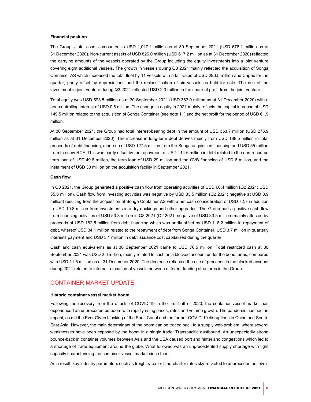#### Financial position

The Group's total assets amounted to USD 1,017.1 million as at 30 September 2021 (USD 678.1 million as at 31 December 2020). Non-current assets of USD 826.0 million (USD 617.2 million as at 31 December 2020) reflected the carrying amounts of the vessels operated by the Group including the equity investments into a joint venture covering eight additional vessels. The growth in vessels during Q3 2021 mainly reflected the acquisition of Songa Container AS which increased the total fleet by 11 vessels with a fair value of USD 296.5 million and Capex for the quarter, partly offset by depreciations and the reclassification of six vessels as held for sale. The rise of the investment in joint venture during Q3 2021 reflected USD 2.3 million in the share of profit from the joint venture.

Total equity was USD 593.5 million as at 30 September 2021 (USD 383.0 million as at 31 December 2020) with a non-controlling interest of USD 0.8 million. The change in equity in 2021 mainly reflects the capital increase of USD 149.5 million related to the acquisition of Songa Container (see note 11) and the net profit for the period of USD 61.9 million.

At 30 September 2021, the Group had total interest-bearing debt in the amount of USD 353.7 million (USD 276.9 million as at 31 December 2020). The increase in long-term debt derives mainly from USD 188.5 million in total proceeds of debt financing, made up of USD 127.5 million from the Songa acquisition financing and USD 55 million from the new RCF. This was partly offset by the repayment of USD 114.6 million in debt related to the non-recourse term loan of USD 49.6 million, the term loan of USD 29 million and the OVB financing of USD 6 million, and the instalment of USD 30 million on the acquisition facility in September 2021.

## Cash flow

In Q3 2021, the Group generated a positive cash flow from operating activities of USD 60.4 million (Q2 2021: USD 35.6 million). Cash flow from investing activities was negative by USD 83.5 million (Q2 2021: negative at USD 3.9 million) resulting from the acquisition of Songa Container AS with a net cash consideration of USD 72.7 in addition to USD 10.8 million from investments into dry dockings and other upgrades. The Group had a positive cash flow from financing activities of USD 53.3 million in Q3 2021 (Q2 2021: negative of USD 33.5 million) mainly affected by proceeds of USD 182.5 million from debt financing which was partly offset by USD 118.2 million in repayment of debt, whereof USD 34.1 million related to the repayment of debt from Songa Container, USD 3.7 million in quarterly interests payment and USD 5.1 million in debt issuance cost capitalised during the quarter.

Cash and cash equivalents as at 30 September 2021 came to USD 76.5 million. Total restricted cash at 30 September 2021 was USD 2.6 million, mainly related to cash on a blocked account under the bond terms, compared with USD 11.5 million as at 31 December 2020. The decrease reflected the use of proceeds in the blocked account during 2021 related to internal relocation of vessels between different funding structures in the Group.

# CONTAINER MARKET UPDATE

#### Historic container vessel market boom

Following the recovery from the effects of COVID-19 in the first half of 2020, the container vessel market has experienced an unprecedented boom with rapidly rising prices, rates and volume growth. The pandemic has had an impact, as did the Ever Given blocking of the Suez Canal and the further COVID-19 disruptions in China and South-East Asia. However, the main determinant of the boom can be traced back to a supply web problem, where several weaknesses have been exposed by the boom in a single trade: Transpacific eastbound. An unexpectedly strong bounce-back in container volumes between Asia and the USA caused port and hinterland congestions which led to a shortage of trade equipment around the globe. What followed was an unprecedented supply shortage with tight capacity characterising the container vessel market since then.

As a result, key industry parameters such as freight rates or time-charter rates sky-rocketed to unprecedented levels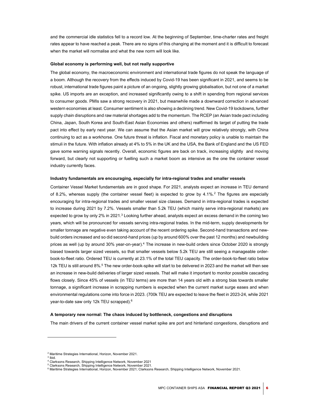and the commercial idle statistics fell to a record low. At the beginning of September, time-charter rates and freight rates appear to have reached a peak. There are no signs of this changing at the moment and it is difficult to forecast when the market will normalise and what the new norm will look like.

#### Global economy is performing well, but not really supportive

The global economy, the macroeconomic environment and international trade figures do not speak the language of a boom. Although the recovery from the effects induced by Covid-19 has been significant in 2021, and seems to be robust, international trade figures paint a picture of an ongoing, slightly growing globalisation, but not one of a market spike. US imports are an exception, and increased significantly owing to a shift in spending from regional services to consumer goods. PMIs saw a strong recovery in 2021, but meanwhile made a downward correction in advanced western economies at least. Consumer sentiment is also showing a declining trend. New Covid-19 lockdowns, further supply chain disruptions and raw material shortages add to the momentum. The RCEP (an Asian trade pact including China, Japan, South Korea and South-East Asian Economies and others) reaffirmed its target of putting the trade pact into effect by early next year. We can assume that the Asian market will grow relatively strongly, with China continuing to act as a workhorse. One future threat is inflation. Fiscal and monetary policy is unable to maintain the stimuli in the future. With inflation already at 4% to 5% in the UK and the USA, the Bank of England and the US FED gave some warning signals recently. Overall, economic figures are back on track, increasing slightly and moving forward, but clearly not supporting or fuelling such a market boom as intensive as the one the container vessel industry currently faces.

### Industry fundamentals are encouraging, especially for intra-regional trades and smaller vessels

Container Vessel Market fundamentals are in good shape. For 2021, analysts expect an increase in TEU demand of 8.2%, whereas supply (the container vessel fleet) is expected to grow by 4.1%.<sup>2</sup> The figures are especially encouraging for intra-regional trades and smaller vessel size classes. Demand in intra-regional trades is expected to increase during 2021 by 7.2%. Vessels smaller than 5.2k TEU (which mainly serve intra-regional markets) are expected to grow by only 2% in 2021.<sup>3</sup> Looking further ahead, analysts expect an excess demand in the coming two years, which will be pronounced for vessels serving intra-regional trades. In the mid-term, supply developments for smaller tonnage are negative even taking account of the recent ordering spike. Second-hand transactions and newbuild orders increased and so did second-hand prices (up by around 600% over the past 12 months) and newbuilding prices as well (up by around 30% year-on-year).<sup>4</sup> The increase in new-build orders since October 2020 is strongly biased towards larger sized vessels, so that smaller vessels below 5.2k TEU are still seeing a manageable orderbook-to-fleet ratio. Ordered TEU is currently at 23.1% of the total TEU capacity. The order-book-to-fleet ratio below 12k TEU is still around 8%.<sup>5</sup> The new order-book-spike will start to be delivered in 2023 and the market will then see an increase in new-build deliveries of larger sized vessels. That will make it important to monitor possible cascading flows closely. Since 45% of vessels (in TEU terms) are more than 14 years old with a strong bias towards smaller tonnage, a significant increase in scrapping numbers is expected when the current market surge eases and when environmental regulations come into force in 2023. (700k TEU are expected to leave the fleet in 2023-24, while 2021 year-to-date saw only 12k TEU scrapped).<sup>6</sup>

#### A temporary new normal: The chaos induced by bottleneck, congestions and disruptions

The main drivers of the current container vessel market spike are port and hinterland congestions, disruptions and

<sup>2</sup> Maritime Strategies International, Horizon, November 2021.

<sup>3</sup> Ibid.

<sup>4</sup> Clarksons Research, Shipping Intelligence Network, November 2021

<sup>5</sup> Clarksons Research, Shipping Intelligence Network, November 2021.

 $^6$  Maritime Strategies International, Horizon, November 2021; Clarksons Research, Shipping Intelligence Network, November 2021.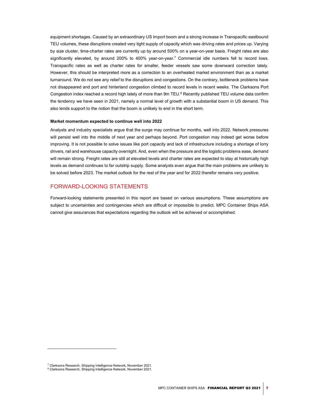equipment shortages. Caused by an extraordinary US Import boom and a strong increase in Transpacific eastbound TEU volumes, these disruptions created very tight supply of capacity which was driving rates and prices up. Varying by size cluster, time-charter rates are currently up by around 500% on a year-on-year basis. Freight rates are also significantly elevated, by around 200% to 400% year-on-year.<sup>7</sup> Commercial idle numbers fell to record lows. Transpacific rates as well as charter rates for smaller, feeder vessels saw some downward correction lately. However, this should be interpreted more as a correction to an overheated market environment than as a market turnaround. We do not see any relief to the disruptions and congestions. On the contrary, bottleneck problems have not disappeared and port and hinterland congestion climbed to record levels in recent weeks. The Clarksons Port Congestion index reached a record high lately of more than 9m TEU.<sup>8</sup> Recently published TEU volume data confirm the tendency we have seen in 2021, namely a normal level of growth with a substantial boom in US demand. This also lends support to the notion that the boom is unlikely to end in the short term.

## Market momentum expected to continue well into 2022

Analysts and industry specialists argue that the surge may continue for months, well into 2022. Network pressures will persist well into the middle of next year and perhaps beyond. Port congestion may indeed get worse before improving. It is not possible to solve issues like port capacity and lack of infrastructure including a shortage of lorry drivers, rail and warehouse capacity overnight. And, even when the pressure and the logistic problems ease, demand will remain strong. Freight rates are still at elevated levels and charter rates are expected to stay at historically high levels as demand continues to far outstrip supply. Some analysts even argue that the main problems are unlikely to be solved before 2023. The market outlook for the rest of the year and for 2022 therefor remains very positive.

# FORWARD-LOOKING STATEMENTS

Forward-looking statements presented in this report are based on various assumptions. These assumptions are subject to uncertainties and contingencies which are difficult or impossible to predict. MPC Container Ships ASA cannot give assurances that expectations regarding the outlook will be achieved or accomplished.

<sup>&</sup>lt;sup>7</sup> Clarksons Research, Shipping Intelligence Network, November 2021.

<sup>&</sup>lt;sup>8</sup> Clarksons Research, Shipping Intelligence Network, November 2021.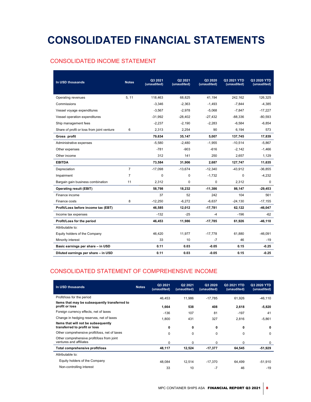# CONSOLIDATED FINANCIAL STATEMENTS

# CONSOLIDATED INCOME STATEMENT

| In USD thousands                           | <b>Notes</b>   | Q3 2021<br>(unaudited) | Q2 2021<br>(unaudited) | Q3 2020<br>(unaudited) | Q3 2021 YTD<br>(unaudited) | Q3 2020 YTD<br>(unaudited) |
|--------------------------------------------|----------------|------------------------|------------------------|------------------------|----------------------------|----------------------------|
|                                            |                |                        |                        |                        |                            |                            |
| Operating revenues                         | 5, 11          | 118,463                | 68,825                 | 41,194                 | 242,162                    | 126,325                    |
| Commissions                                |                | $-3,346$               | $-2,363$               | $-1,493$               | $-7,844$                   | $-4,385$                   |
| Vessel voyage expenditures                 |                | $-3.567$               | $-2.978$               | $-5.068$               | $-7.847$                   | $-17.227$                  |
| Vessel operation expenditures              |                | $-31,992$              | $-28,402$              | -27,432                | $-88,336$                  | $-80,593$                  |
| Ship management fees                       |                | $-2,237$               | $-2,190$               | $-2,283$               | $-6,584$                   | $-6,854$                   |
| Share of profit or loss from joint venture | 6              | 2,313                  | 2,254                  | 90                     | 6,194                      | 573                        |
| Gross profit                               |                | 79,634                 | 35,147                 | 5.007                  | 137,745                    | 17,839                     |
| Administrative expenses                    |                | $-5,580$               | $-2.480$               | $-1.955$               | $-10.514$                  | $-5,867$                   |
| Other expenses                             |                | $-781$                 | $-903$                 | $-616$                 | $-2,142$                   | $-1,466$                   |
| Other income                               |                | 312                    | 141                    | 250                    | 2,657                      | 1,129                      |
| <b>EBITDA</b>                              |                | 73,584                 | 31,906                 | 2,687                  | 127,747                    | 11,635                     |
| Depreciation                               | $\overline{7}$ | $-17,098$              | $-13,674$              | $-12.340$              | $-43,912$                  | $-36,855$                  |
| Impairment                                 | $\overline{7}$ | 0                      | 0                      | $-1,732$               | 0                          | $-4,232$                   |
| Bargain gain business combination          | 11             | 2,312                  | 0                      | 0                      | 2,312                      | 0                          |
| <b>Operating result (EBIT)</b>             |                | 58,798                 | 18,232                 | $-11,386$              | 86,147                     | $-29,453$                  |
| Finance income                             |                | 37                     | 52                     | 242                    | 104                        | 561                        |
| Finance costs                              | 8              | $-12,250$              | $-6,272$               | $-6,637$               | $-24,130$                  | $-17,155$                  |
| Profit/Loss before income tax (EBT)        |                | 46,585                 | 12,012                 | $-17,781$              | 62,122                     | $-46,047$                  |
| Income tax expenses                        |                | $-132$                 | $-25$                  | $-4$                   | $-196$                     | $-62$                      |
| Profit/Loss for the period                 |                | 46,453                 | 11,986                 | -17,785                | 61,926                     | $-46, 110$                 |
| Attributable to:                           |                |                        |                        |                        |                            |                            |
| Equity holders of the Company              |                | 46,420                 | 11,977                 | $-17,778$              | 61,880                     | $-46,091$                  |
| Minority interest                          |                | 33                     | 10                     | $-7$                   | 46                         | -19                        |
| Basic earnings per share - in USD          |                | 0.11                   | 0.03                   | $-0.05$                | 0.15                       | $-0.25$                    |
| Diluted earnings per share - in USD        |                | 0.11                   | 0.03                   | $-0.05$                | 0.15                       | $-0.25$                    |

# CONSOLIDATED STATEMENT OF COMPREHENSIVE INCOME

| In USD thousands                                                      | <b>Notes</b> | Q3 2021<br>(unaudited) | Q2 2021<br>(unaudited) | Q3 2020<br>(unaudited) | Q3 2021 YTD<br>(unaudited) | Q3 2020 YTD<br>(unaudited) |
|-----------------------------------------------------------------------|--------------|------------------------|------------------------|------------------------|----------------------------|----------------------------|
| Profit/loss for the period                                            |              | 46,453                 | 11,986                 | $-17,785$              | 61,926                     | $-46,110$                  |
| Items that may be subsequently transferred to<br>profit or loss       |              | 1,664                  | 538                    | 408                    | 2,618                      | $-5,820$                   |
| Foreign currency effects, net of taxes                                |              | $-136$                 | 107                    | 81                     | $-197$                     | 41                         |
| Change in hedging reserves, net of taxes                              |              | 1.800                  | 431                    | 327                    | 2,816                      | $-5,861$                   |
| Items that will not be subsequently<br>transferred to profit or loss  |              | 0                      | 0                      | 0                      | 0                          | 0                          |
| Other comprehensive profit/loss, net of taxes                         |              | $\Omega$               | 0                      | $\Omega$               | $\Omega$                   | $\Omega$                   |
| Other comprehensive profit/loss from joint<br>ventures and affiliates |              | $\Omega$               | $\Omega$               | $\Omega$               | $\Omega$                   | $\Omega$                   |
| Total comprehensive profit/loss                                       |              | 48,117                 | 12,524                 | $-17,377$              | 64,545                     | -51,929                    |
| Attributable to:                                                      |              |                        |                        |                        |                            |                            |
| Equity holders of the Company                                         |              | 48.084                 | 12.514                 | $-17.370$              | 64,499                     | $-51,910$                  |
| Non-controlling interest                                              |              | 33                     | 10                     | $-7$                   | 46                         | $-19$                      |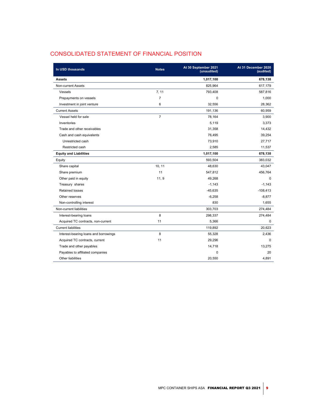| In USD thousands                      | <b>Notes</b>   | At 30 September 2021<br>(unaudited) | At 31 December 2020<br>(audited) |
|---------------------------------------|----------------|-------------------------------------|----------------------------------|
| <b>Assets</b>                         |                | 1,017,100                           | 678,138                          |
| Non-current Assets                    |                | 825,964                             | 617,179                          |
| Vessels                               | 7, 11          | 793,408                             | 587,816                          |
| Prepayments on vessels                | $\overline{7}$ | $\mathbf 0$                         | 1,000                            |
| Investment in joint venture           | 6              | 32,556                              | 28,362                           |
| <b>Current Assets</b>                 |                | 191,136                             | 60,959                           |
| Vessel held for sale                  | $\overline{7}$ | 78,164                              | 3,900                            |
| Inventories                           |                | 5,119                               | 3,373                            |
| Trade and other receivables           |                | 31,358                              | 14,432                           |
| Cash and cash equivalents             |                | 76,495                              | 39,254                           |
| Unrestricted cash                     |                | 73,910                              | 27,717                           |
| Restricted cash                       |                | 2,585                               | 11,537                           |
| <b>Equity and Liabilities</b>         |                | 1,017,100                           | 678,138                          |
| Equity                                |                | 593,504                             | 383,032                          |
| Share capital                         | 10, 11         | 48.630                              | 43,047                           |
| Share premium                         | 11             | 547,812                             | 456,764                          |
| Other paid in equity                  | 11, 9          | 49,268                              | $\Omega$                         |
| Treasury shares                       |                | $-1,143$                            | $-1,143$                         |
| Retained losses                       |                | $-45,635$                           | $-108,413$                       |
| Other reserves                        |                | $-6,258$                            | $-8,877$                         |
| Non-controlling interest              |                | 830                                 | 1,655                            |
| Non-current liabilities               |                | 303.703                             | 274,484                          |
| Interest-bearing loans                | 8              | 298,337                             | 274,484                          |
| Acquired TC contracts, non-current    | 11             | 5,366                               | $\mathbf 0$                      |
| <b>Current liabilities</b>            |                | 119,892                             | 20.623                           |
| Interest-bearing loans and borrowings | 8              | 55,328                              | 2,436                            |
| Acquired TC contracts, current        | 11             | 29,296                              | $\Omega$                         |
| Trade and other payables              |                | 14,718                              | 13,275                           |
| Payables to affiliated companies      |                | $\Omega$                            | 20                               |
| Other liabilities                     |                | 20,550                              | 4,891                            |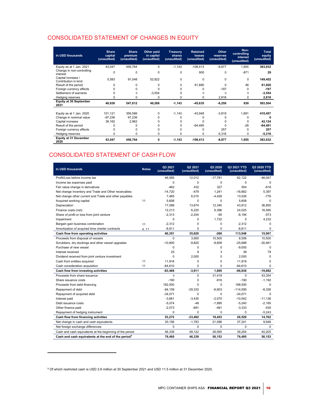# CONSOLIDATED STATEMENT OF CHANGES IN EQUITY

| In USD thousands                           | <b>Share</b><br>capital<br>(unaudited) | <b>Share</b><br>premium<br>(unaudited) | Other paid<br>in capital<br>(unaudited) | <b>Treasury</b><br>shares<br>(unaudited) | <b>Retained</b><br>losses<br>(unaudited) | Other<br>reserves<br>(unaudited) | Non-<br>controlling<br>interest<br>(unaudited) | <b>Total</b><br>equity<br>(unaudited) |
|--------------------------------------------|----------------------------------------|----------------------------------------|-----------------------------------------|------------------------------------------|------------------------------------------|----------------------------------|------------------------------------------------|---------------------------------------|
| Equity as at 1 Jan. 2021                   | 43,047                                 | 456,764                                | 0                                       | $-1,143$                                 | $-108,413$                               | $-8,877$                         | 1,655                                          | 383,032                               |
| Change in non-controlling<br>interest      | $\Omega$                               | 0                                      | $\Omega$                                | 0                                        | 900                                      | 0                                | $-871$                                         | 29                                    |
| Capital increase /<br>Contribution in kind | 5,583                                  | 91,048                                 | 52,822                                  | 0                                        | $\Omega$                                 | $\Omega$                         | $\Omega$                                       | 149,452                               |
| Result of the period                       |                                        | U                                      |                                         | 0                                        | 61.880                                   | $\Omega$                         | 46                                             | 61,926                                |
| Foreign currency effects                   |                                        |                                        |                                         |                                          |                                          | $-197$                           | $\Omega$                                       | $-197$                                |
| Settlement of warrants                     |                                        | $^{0}$                                 | $-3,554$                                |                                          |                                          | $\Omega$                         | $\Omega$                                       | $-3,554$                              |
| Hedging reserves                           |                                        | $\Omega$                               |                                         |                                          |                                          | 2,816                            | 0                                              | 2,816                                 |
| <b>Equity at 30 September</b><br>2021      | 48,630                                 | 547,812                                | 49,268                                  | $-1,143$                                 | $-45,635$                                | $-6,258$                         | 830                                            | 593,504                               |
| Equity as at 1 Jan. 2020                   | 101,121                                | 356,566                                |                                         | $-1,143$                                 | $-43,948$                                | $-3,819$                         | 1,681                                          | 410,457                               |
| Change in nominal value                    | $-97,236$                              | 97,236                                 |                                         |                                          |                                          |                                  | U                                              |                                       |
| Capital increase                           | 39,162                                 | 2,962                                  |                                         |                                          |                                          |                                  | 0                                              | 42,124                                |
| Result of the period                       |                                        |                                        |                                         |                                          | $-64,465$                                |                                  | $-26$                                          | $-64,491$                             |
| Foreign currency effects                   |                                        |                                        |                                         |                                          |                                          | 257                              | $\Omega$                                       | 257                                   |
| Hedging reserves                           |                                        | 0                                      | 0                                       |                                          | 0                                        | $-5,316$                         | 0                                              | $-5,316$                              |
| <b>Equity at 31 December</b><br>2020       | 43,047                                 | 456,764                                | 0                                       | $-1,143$                                 | $-108,413$                               | $-8,877$                         | 1,655                                          | 383,032                               |

# CONSOLIDATED STATEMENT OF CASH FLOW

| In USD thousands                                                | <b>Notes</b> | Q3 2021<br>(unaudited) | Q2 2021<br>(unaudited) | Q3 2020<br>(unaudited) | Q3 2021 YTD<br>(unaudited) | Q3 2020 YTD<br>(unaudited) |
|-----------------------------------------------------------------|--------------|------------------------|------------------------|------------------------|----------------------------|----------------------------|
| Profit/Loss before income tax                                   |              | 46,585                 | 12,012                 | $-17,781$              | 62,122                     | $-46,047$                  |
| Income tax expenses paid                                        |              | $\Omega$               | 0                      | $\Omega$               | $\Omega$                   | $\Omega$                   |
| Fair value change in derivatives                                |              | $-462$                 | 432                    | 327                    | 554                        | $-618$                     |
| Net change Inventory and Trade and Other receivables            |              | $-14,720$              | $-479$                 | 1,241                  | $-18,882$                  | 5,397                      |
| Net change other current and Trade and other payables           |              | 7,465                  | 6,015                  | $-4,426$               | 13,526                     | $-776$                     |
| Acquired working capital                                        | 11           | 5.608                  | 0                      | $\mathbf 0$            | 5.608                      | $\mathbf 0$                |
| Depreciation                                                    |              | 17,098                 | 13,674                 | 12,340                 | 43,912                     | 36,855                     |
| Finance costs (net)                                             |              | 12,213                 | 6,220                  | 6,396                  | 24,025                     | 16,595                     |
| Share of profit or loss from joint venture                      |              | $-2,313$               | $-2,254$               | -90                    | $-6,194$                   | $-573$                     |
| Impairment                                                      |              | 0                      | 0                      | 1.732                  | $\mathbf 0$                | 4,232                      |
| Bargain gain business combination                               | 11           | $-2,312$               | 0                      | $\mathbf 0$            | $-2.312$                   | $\mathbf 0$                |
| Amortization of acquired time charter contracts                 | 4.11         | $-8,811$               | 0                      | 0                      | $-8,811$                   | $\Omega$                   |
| Cash flow from operating activities                             |              | 60,351                 | 35,620                 | $-260$                 | 113,548                    | 15,067                     |
| Proceeds from disposal of vessels                               |              | 0                      | 3,900                  | 10,500                 | 8,506                      | 10,500                     |
| Scrubbers, dry dockings and other vessel upgrades               |              | $-10,800$              | $-9,820$               | $-8,608$               | $-25,688$                  | $-30,461$                  |
| Purchase of new vessel                                          |              | $\Omega$               | 0                      | $\mathbf 0$            | $-9,000$                   | $\Omega$                   |
| Interest received                                               |              | 25                     | 9                      | 3                      | 38                         | 79                         |
| Dividend received from joint venture investment                 |              | 0                      | 2,000                  | 0                      | 2,000                      | 0                          |
| Cash from entities acquired                                     | 11           | 11,918                 | 0                      | 0                      | 11.918                     | $\mathbf 0$                |
| Cash consideration acquisition                                  | 11           | $-84,610$              | 0                      | 0                      | $-84.610$                  | $\mathbf 0$                |
| Cash flow from investing activities                             |              | $-83,468$              | $-3,911$               | 1,895                  | -96,836                    | $-19,882$                  |
| Proceeds from share issuance                                    |              | $\mathbf{0}$           | 0                      | 31,418                 | $\mathbf 0$                | 43,354                     |
| Share issuance costs                                            |              | $-190$                 | 0                      | $-916$                 | $-190$                     | $-1,192$                   |
| Proceeds from debt financing                                    |              | 182,500                | 0                      | 0                      | 188,500                    | 0                          |
| Repayment of debt                                               |              | $-84,159$              | $-29.333$              | $-6.603$               | $-114,595$                 | $-8,326$                   |
| Repayment of acquired debt                                      |              | $-34,071$              | 0                      | $\mathbf 0$            | $-34,071$                  | $\mathbf 0$                |
| Interest paid                                                   |              | $-3,661$               | $-3.430$               | $-2.070$               | $-10,542$                  | $-11,136$                  |
| Debt issuance costs                                             |              | $-5,074$               | -48                    | $-1,895$               | $-5,240$                   | $-2,165$                   |
| Other finance paid                                              |              | $-2,073$               | $-681$                 | $-481$                 | $-3,333$                   | $-530$                     |
| Repayment of hedging instrument                                 |              | 0                      | 0                      | 0                      | $\mathbf 0$                | $-5.243$                   |
| Cash flow from financing activities                             |              | 53,272                 | $-33,492$              | 19,453                 | 20,529                     | 14,762                     |
| Net change in cash and cash equivalents                         |              | 30,156                 | $-1,783$               | 21,088                 | 37,241                     | 9,948                      |
| Net foreign exchange differences                                |              | $\mathbf 0$            | 0                      | $\mathbf 0$            | $\mathbf 0$                | $\Omega$                   |
| Cash and cash equivalents at the beginning of the period        |              | 46,339                 | 48,122                 | 29,065                 | 39,254                     | 40,205                     |
| Cash and cash equivalents at the end of the period <sup>9</sup> |              | 76,495                 | 46.339                 | 50.153                 | 76.495                     | 50.153                     |

<sup>9</sup> Of which restricted cash is USD 2.6 million at 30 September 2021 and USD 11.5 million at 31 December 2020.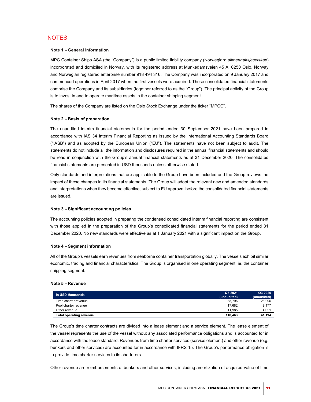# **NOTES**

# Note 1 - General information

MPC Container Ships ASA (the "Company") is a public limited liability company (Norwegian: allmennaksjeselskap) incorporated and domiciled in Norway, with its registered address at Munkedamsveien 45 A, 0250 Oslo, Norway and Norwegian registered enterprise number 918 494 316. The Company was incorporated on 9 January 2017 and commenced operations in April 2017 when the first vessels were acquired. These consolidated financial statements comprise the Company and its subsidiaries (together referred to as the "Group"). The principal activity of the Group is to invest in and to operate maritime assets in the container shipping segment.

The shares of the Company are listed on the Oslo Stock Exchange under the ticker "MPCC".

## Note 2 - Basis of preparation

The unaudited interim financial statements for the period ended 30 September 2021 have been prepared in accordance with IAS 34 Interim Financial Reporting as issued by the International Accounting Standards Board ("IASB") and as adopted by the European Union ("EU"). The statements have not been subject to audit. The statements do not include all the information and disclosures required in the annual financial statements and should be read in conjunction with the Group's annual financial statements as at 31 December 2020. The consolidated financial statements are presented in USD thousands unless otherwise stated.

Only standards and interpretations that are applicable to the Group have been included and the Group reviews the impact of these changes in its financial statements. The Group will adopt the relevant new and amended standards and interpretations when they become effective, subject to EU approval before the consolidated financial statements are issued.

## Note 3 - Significant accounting policies

The accounting policies adopted in preparing the condensed consolidated interim financial reporting are consistent with those applied in the preparation of the Group's consolidated financial statements for the period ended 31 December 2020. No new standards were effective as at 1 January 2021 with a significant impact on the Group.

#### Note 4 - Segment information

All of the Group's vessels earn revenues from seaborne container transportation globally. The vessels exhibit similar economic, trading and financial characteristics. The Group is organised in one operating segment, ie. the container shipping segment.

#### Note 5 - Revenue

| In USD thousands        | Q3 2021<br>(unaudited) | Q3 2020<br>(unaudited) |
|-------------------------|------------------------|------------------------|
| Time charter revenue    | 88.796                 | 28,996                 |
| Pool charter revenue    | 17.682                 | 8,177                  |
| Other revenue           | 11.985                 | 4.021                  |
| Total operating revenue | 118.463                | 41.194                 |

The Group's time charter contracts are divided into a lease element and a service element. The lease element of the vessel represents the use of the vessel without any associated performance obligations and is accounted for in accordance with the lease standard. Revenues from time charter services (service element) and other revenue (e.g. bunkers and other services) are accounted for in accordance with IFRS 15. The Group's performance obligation is to provide time charter services to its charterers.

Other revenue are reimbursements of bunkers and other services, including amortization of acquired value of time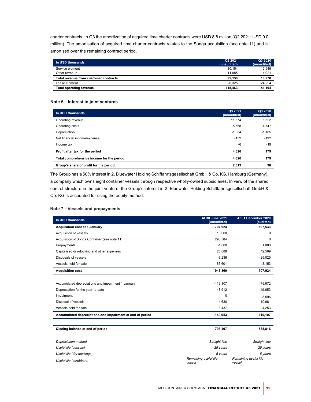charter contracts. In Q3 the amortization of acquired time charter contracts were USD 8.8 million (Q2 2021: USD 0.0 million). The amortisation of acquired time charter contracts relates to the Songa acquisition (see note 11) and is amortised over the remaining contract period.

| In USD thousands                      | Q3 2021<br>(unaudited) | Q3 2020<br>(unaudited) |
|---------------------------------------|------------------------|------------------------|
| Service element                       | 80,154                 | 12,949                 |
| Other revenue                         | 11.985                 | 4,021                  |
| Total revenue from customer contracts | 92.130                 | 16,970                 |
| Lease element                         | 26.325                 | 24,224                 |
| Total operating revenue               | 118.463                | 41.194                 |

## Note 6 - Interest in joint ventures

| In USD thousands                          | Q3 2021<br>(unaudited) | Q3 2020<br>(unaudited) |
|-------------------------------------------|------------------------|------------------------|
| Operating revenue                         | 11.674                 | 6,322                  |
| Operating costs                           | $-5,558$               | $-4,747$               |
| Depreciation                              | $-1.334$               | $-1,185$               |
| Net financial income/expense              | $-152$                 | $-192$                 |
| Income tax                                | $-6$                   | $-19$                  |
| Profit after tax for the period           | 4,626                  | 179                    |
| Total comprehensive income for the period | 4,626                  | 179                    |
| Group's share of profit for the period    | 2,313                  | 90                     |

The Group has a 50% interest in 2. Bluewater Holding Schiffahrtsgesellschaft GmbH & Co. KG, Hamburg (Germany), a company which owns eight container vessels through respective wholly-owned subsidiaries. In view of the shared control structure in the joint venture, the Group's interest in 2. Bluewater Holding Schifffahrtsgesellschaft GmbH & Co. KG is accounted for using the equity method.

## Note 7 - Vessels and prepayments

| In USD thousands                                          | At 30 June 2021<br>(unaudited)  | At 31 December 2020<br>(audited) |
|-----------------------------------------------------------|---------------------------------|----------------------------------|
| <b>Acquisition cost at 1 January</b>                      | 707,924                         | 697,533                          |
| Acquisition of vessels                                    | 10,000                          | $\Omega$                         |
| Acquisition of Songa Container (see note 11)              | 296.584                         | $\Omega$                         |
| Prepayments                                               | $-1,000$                        | 1,000                            |
| Capitalised dry-docking and other expenses                | 25,688                          | 42.569                           |
| Disposals of vessels                                      | $-9,236$                        | $-25,025$                        |
| Vessels held for sale                                     | $-86,601$                       | $-8,153$                         |
| <b>Acquisition cost</b>                                   | 943,360                         | 707,924                          |
|                                                           |                                 |                                  |
| Accumulated depreciations and impairment 1 January        | $-119,107$                      | $-75.672$                        |
| Depreciation for the year-to-date                         | $-43,912$                       | $-49,653$                        |
| Impairment                                                | $\Omega$                        | $-8,996$                         |
| Disposal of vessels                                       | 4,630                           | 10,961                           |
| Vessels held for sale                                     | 8,437                           | 4,253                            |
| Accumulated depreciations and impairment at end of period | $-149,953$                      | $-119, 107$                      |
|                                                           |                                 |                                  |
| Closing balance at end of period                          | 793,407                         | 588,816                          |
|                                                           |                                 |                                  |
| Depreciation method                                       | Straight-line                   | Straight-line                    |
| Useful life (vessels)                                     | 25 years                        | 25 years                         |
| Useful life (dry dockings)                                | 5 years                         | 5 years                          |
| Useful life (scrubbers)                                   | Remaining useful life<br>vessel | Remaining useful life<br>vessel  |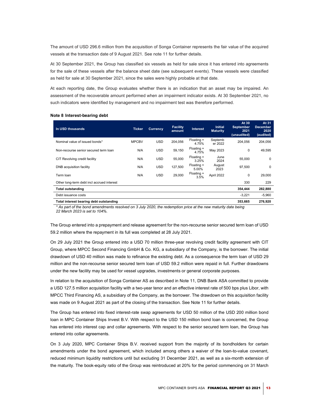The amount of USD 296.6 million from the acquisition of Songa Container represents the fair value of the acquired vessels at the transaction date of 9 August 2021. See note 11 for further details.

At 30 September 2021, the Group has classified six vessels as held for sale since it has entered into agreements for the sale of these vessels after the balance sheet date (see subsequent events). These vessels were classified as held for sale at 30 September 2021, since the sales were highly probable at that date.

At each reporting date, the Group evaluates whether there is an indication that an asset may be impaired. An assessment of the recoverable amount performed when an impairment indicator exists. At 30 September 2021, no such indicators were identified by management and no impairment test was therefore performed.

| In USD thousands                           | <b>Ticker</b> | <b>Currency</b> | <b>Facility</b><br>amount | <b>Interest</b>     | <b>Initial</b><br><b>Maturity</b> | At 30<br><b>September</b><br>2021<br>(unaudited) | At 31<br><b>December</b><br>2020<br>(audited) |
|--------------------------------------------|---------------|-----------------|---------------------------|---------------------|-----------------------------------|--------------------------------------------------|-----------------------------------------------|
| Nominal value of issued bonds*             | <b>MPCBV</b>  | <b>USD</b>      | 204.056                   | Floating +<br>4.75% | Septemb<br>er 2022                | 204,056                                          | 204,056                                       |
| Non-recourse senior secured term loan      | N/A           | <b>USD</b>      | 59,150                    | Floating +<br>4.75% | May 2023                          | 0                                                | 49,595                                        |
| CIT Revolving credit facility              | N/A           | <b>USD</b>      | 55,000                    | Floating +<br>3.25% | June<br>2024                      | 55,000                                           | 0                                             |
| DNB acquisition facility                   | N/A           | <b>USD</b>      | 127,500                   | Floating +<br>5.00% | August<br>2023                    | 97,500                                           | 0                                             |
| Term Ioan                                  | N/A           | <b>USD</b>      | 29,000                    | Floating +<br>3.5%  | April 2022                        | 0                                                | 29,000                                        |
| Other long-term debt incl accrued interest |               |                 |                           |                     |                                   | 330                                              | 229                                           |
| Total outstanding                          |               |                 |                           |                     |                                   | 354,444                                          | 282,880                                       |
| Debt issuance costs                        |               |                 |                           |                     |                                   | $-3.221$                                         | $-5,960$                                      |
| Total interest bearing debt outstanding    |               |                 |                           |                     |                                   | 353,665                                          | 276,920                                       |

#### Note 8 Interest-bearing debt

\* As part of the bond amendments resolved on 3 July 2020, the redemption price at the new maturity date being 22 March 2023 is set to 104%.

The Group entered into a prepayment and release agreement for the non-recourse senior secured term loan of USD 59.2 million where the repayment in its full was completed at 28 July 2021.

On 29 July 2021 the Group entered into a USD 70 million three-year revolving credit facility agreement with CIT Group, where MPCC Second Financing GmbH & Co. KG, a subsidiary of the Company, is the borrower. The initial drawdown of USD 40 million was made to refinance the existing debt. As a consequence the term loan of USD 29 million and the non-recourse senior secured term loan of USD 59.2 million were repaid in full. Further drawdowns under the new facility may be used for vessel upgrades, investments or general corporate purposes.

In relation to the acquisition of Songa Container AS as described in Note 11, DNB Bank ASA committed to provide a USD 127.5 million acquisition facility with a two-year tenor and an effective interest rate of 500 bps plus Libor, with MPCC Third Financing AS, a subsidiary of the Company, as the borrower. The drawdown on this acquisition facility was made on 9 August 2021 as part of the closing of the transaction. See Note 11 for further details.

The Group has entered into fixed interest-rate swap agreements for USD 50 million of the USD 200 million bond loan in MPC Container Ships Invest B.V. With respect to the USD 150 million bond loan is concerned, the Group has entered into interest cap and collar agreements. With respect to the senior secured term loan, the Group has entered into collar agreements.

On 3 July 2020, MPC Container Ships B.V. received support from the majority of its bondholders for certain amendments under the bond agreement, which included among others a waiver of the loan-to-value covenant, reduced minimum liquidity restrictions until but excluding 31 December 2021, as well as a six-month extension of the maturity. The book-equity ratio of the Group was reintroduced at 20% for the period commencing on 31 March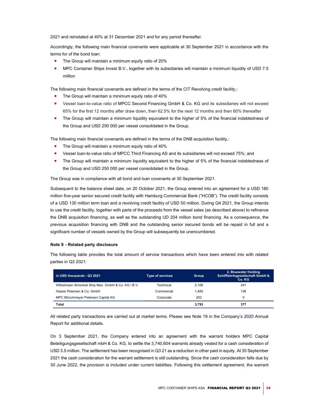2021 and reinstated at 40% at 31 December 2021 and for any period thereafter.

Accordingly, the following main financial covenants were applicable at 30 September 2021 in accordance with the terms for of the bond loan:

- The Group will maintain a minimum equity ratio of 20%
- MPC Container Ships Invest B.V., together with its subsidiaries will maintain a minimum liquidity of USD 7.5 million

The following main financial covenants are defined in the terms of the CIT Revolving credit facility,:

- The Group will maintain a minimum equity ratio of 40%
- Vessel loan-to-value ratio of MPCC Second Financing GmbH & Co. KG and its subsidiaries will not exceed 65% for the first 12 months after draw down, then 62.5% for the next 12 months and then 60% thereafter
- The Group will maintain a minimum liquidity equivalent to the higher of 5% of the financial indebtedness of the Group and USD 250 000 per vessel consolidated in the Group.

The following main financial covenants are defined in the terms of the DNB acquisition facility,:

- The Group will maintain a minimum equity ratio of 40%
- Vessel loan-to-value ratio of MPCC Third Financing AS and its subsidiaries will not exceed 75%; and
- The Group will maintain a minimum liquidity equivalent to the higher of 5% of the financial indebtedness of the Group and USD 250 000 per vessel consolidated in the Group.

The Group was in compliance with all bond and loan covenants at 30 September 2021.

Subsequent to the balance sheet date, on 20 October 2021, the Group entered into an agreement for a USD 180 million five-year senior secured credit facility with Hamburg Commercial Bank ("HCOB"). The credit facility consists of a USD 130 million term loan and a revolving credit facility of USD 50 million. During Q4 2021, the Group intends to use the credit facility, together with parts of the proceeds from the vessel sales (as described above) to refinance the DNB acquisition financing, as well as the outstanding UD 204 million bond financing. As a consequence, the previous acquisition financing with DNB and the outstanding senior secured bonds will be repaid in full and a significant number of vessels owned by the Group will subsequently be unencumbered.

## Note 9 - Related party disclosure

The following table provides the total amount of service transactions which have been entered into with related parties in Q3 2021:

| in USD thousands - Q3 2021                          | <b>Type of services</b> | Group | 2. Bluewater Holding<br>Schifffahrtsgesellschaft GmbH &<br>Co. KG |
|-----------------------------------------------------|-------------------------|-------|-------------------------------------------------------------------|
| Wilhelmsen Ahrenkiel Ship Man. GmbH & Co. KG / B.V. | Technical               | 2.106 | 241                                                               |
| Harper Petersen & Co. GmbH                          | Commercial              | 1.485 | 136                                                               |
| MPC Münchmeyer Petersen Capital AG                  | Corporate               | 202   | C                                                                 |
| Total                                               |                         | 3.793 | 377                                                               |

All related party transactions are carried out at market terms. Please see Note 19 in the Company's 2020 Annual Report for additional details.

On 3 September 2021, the Company entered into an agreement with the warrant holders MPC Capital Beteiligungsgesellschaft mbH & Co. KG, to settle the 3,740,604 warrants already vested for a cash consideration of USD 3.5 million. The settlement has been recognised in Q3 21 as a reduction in other paid in equity. At 30 September 2021 the cash consideration for the warrant settlement is still outstanding. Since the cash consideration falls due by 30 June 2022, the provision is included under current liabilities. Following this settlement agreement, the warrant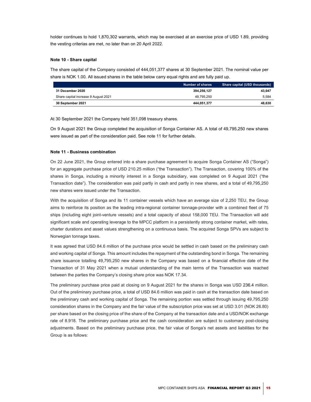holder continues to hold 1,870,302 warrants, which may be exercised at an exercise price of USD 1.89, providing the vesting criterias are met, no later than on 20 April 2022.

#### Note 10 - Share capital

The share capital of the Company consisted of 444,051,377 shares at 30 September 2021. The nominal value per share is NOK 1.00. All issued shares in the table below carry equal rights and are fully paid up.

|                                      | <b>Number of shares</b> | Share capital (USD thousands) |
|--------------------------------------|-------------------------|-------------------------------|
| 31 December 2020                     | 394.256.127             | 43.047                        |
| Share capital increase 9 August 2021 | 49.795.250              | 5.584                         |
| 30 September 2021                    | 444.051.377             | 48.630                        |

At 30 September 2021 the Company held 351,098 treasury shares.

On 9 August 2021 the Group completed the acquisition of Songa Container AS. A total of 49,795,250 new shares were issued as part of the consideration paid. See note 11 for further details.

#### Note 11 - Business combination

On 22 June 2021, the Group entered into a share purchase agreement to acquire Songa Container AS ("Songa") for an aggregate purchase price of USD 210.25 million ("the Transaction"). The Transaction, covering 100% of the shares in Songa, including a minority interest in a Songa subsidiary, was completed on 9 August 2021 ("the Transaction date"). The consideration was paid partly in cash and partly in new shares, and a total of 49,795,250 new shares were issued under the Transaction.

With the acquisition of Songa and its 11 container vessels which have an average size of 2,250 TEU, the Group aims to reinforce its position as the leading intra-regional container tonnage-provider with a combined fleet of 75 ships (including eight joint-venture vessels) and a total capacity of about 158,000 TEU. The Transaction will add significant scale and operating leverage to the MPCC platform in a persistently strong container market, with rates, charter durations and asset values strengthening on a continuous basis. The acquired Songa SPVs are subject to Norwegian tonnage taxes.

It was agreed that USD 84.6 million of the purchase price would be settled in cash based on the preliminary cash and working capital of Songa. This amount includes the repayment of the outstanding bond in Songa. The remaining share issuance totalling 49,795,250 new shares in the Company was based on a financial effective date of the Transaction of 31 May 2021 when a mutual understanding of the main terms of the Transaction was reached between the parties the Company's closing share price was NOK 17.34.

The preliminary purchase price paid at closing on 9 August 2021 for the shares in Songa was USD 236.4 million. Out of the preliminary purchase price, a total of USD 84.6 million was paid in cash at the transaction date based on the preliminary cash and working capital of Songa. The remaining portion was settled through issuing 49,795,250 consideration shares in the Company and the fair value of the subscription price was set at USD 3.01 (NOK 26.80) per share based on the closing price of the share of the Company at the transaction date and a USD/NOK exchange rate of 8.918. The preliminary purchase price and the cash consideration are subject to customary post-closing adjustments. Based on the preliminary purchase price, the fair value of Songa's net assets and liabilities for the Group is as follows: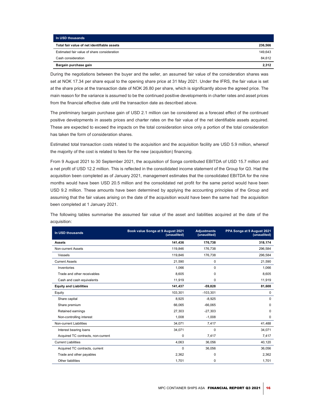| In USD thousands                            |         |
|---------------------------------------------|---------|
| Total fair value of net identifiable assets | 236,566 |
| Estimated fair value of share consideration | 149.643 |
| Cash consideration                          | 84,612  |
| Bargain purchase gain                       | 2.312   |

During the negotiations between the buyer and the seller, an assumed fair value of the consideration shares was set at NOK 17.34 per share equal to the opening share price at 31 May 2021. Under the IFRS, the fair value is set at the share price at the transaction date of NOK 26.80 per share, which is significantly above the agreed price. The main reason for the variance is assumed to be the continued positive developments in charter rates and asset prices from the financial effective date until the transaction date as described above.

The preliminary bargain purchase gain of USD 2.1 million can be considered as a forecast effect of the continued positive developments in assets prices and charter rates on the fair value of the net identifiable assets acquired. These are expected to exceed the impacts on the total consideration since only a portion of the total consideration has taken the form of consideration shares.

Estimated total transaction costs related to the acquisition and the acquisition facility are USD 5.9 million, whereof the majority of the cost is related to fees for the new (acquisition) financing.

From 9 August 2021 to 30 September 2021, the acquisition of Songa contributed EBITDA of USD 15.7 million and a net profit of USD 12.2 million. This is reflected in the consolidated income statement of the Group for Q3. Had the acquisition been completed as of January 2021, management estimates that the consolidated EBITDA for the nine months would have been USD 20.5 million and the consolidated net profit for the same period would have been USD 9.2 million. These amounts have been determined by applying the accounting principles of the Group and assuming that the fair values arising on the date of the acquisition would have been the same had the acquisition been completed at 1 January 2021.

The following tables summarise the assumed fair value of the asset and liabilities acquired at the date of the acquisition:

| In USD thousands                   | Book value Songa at 9 August 2021<br>(unaudited) | <b>Adjustments</b><br>(unaudited) | PPA Songa at 9 August 2021<br>(unaudited) |  |
|------------------------------------|--------------------------------------------------|-----------------------------------|-------------------------------------------|--|
| <b>Assets</b>                      | 141,436                                          | 176,738                           | 318,174                                   |  |
| Non-current Assets                 | 119.846                                          | 176,738                           | 296,584                                   |  |
| Vessels                            | 119,846                                          | 176,738                           | 296,584                                   |  |
| <b>Current Assets</b>              | 21,590                                           | 0                                 | 21,590                                    |  |
| Inventories                        | 1,066                                            | $\Omega$                          | 1,066                                     |  |
| Trade and other receivables        | 8,605                                            | 0                                 | 8,605                                     |  |
| Cash and cash equivalents          | 11,919                                           | 0                                 | 11,919                                    |  |
| <b>Equity and Liabilities</b>      | 141,437                                          | $-59,828$                         | 81,608                                    |  |
| Equity                             | 103,301                                          | $-103,301$                        | 0                                         |  |
| Share capital                      | 8,925                                            | $-8,925$                          | $\Omega$                                  |  |
| Share premium                      | 66,065                                           | $-66,065$                         | 0                                         |  |
| Retained earnings                  | 27,303                                           | $-27,303$                         | $\Omega$                                  |  |
| Non-controlling interest           | 1,008                                            | $-1,008$                          | 0                                         |  |
| Non-current Liabilities            | 34,071                                           | 7,417                             | 41,488                                    |  |
| Interest bearing loans             | 34,071                                           | $\mathbf 0$                       | 34,071                                    |  |
| Acquired TC contracts, non-current | 0                                                | 7,417                             | 7,417                                     |  |
| <b>Current Liabilities</b>         | 4,063                                            | 36,056                            | 40,120                                    |  |
| Acquired TC contracts, current     | 0                                                | 36,056                            | 36,056                                    |  |
| Trade and other payables           | 2,362                                            | 0                                 | 2,362                                     |  |
| Other liabilities                  | 1,701                                            | 0                                 | 1,701                                     |  |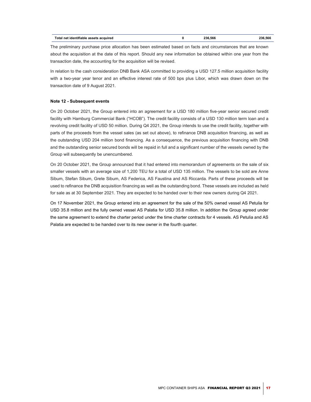| Total net identifiable assets acquired |  | 236.566 | 236.566 |
|----------------------------------------|--|---------|---------|
|----------------------------------------|--|---------|---------|

The preliminary purchase price allocation has been estimated based on facts and circumstances that are known about the acquisition at the date of this report. Should any new information be obtained within one year from the transaction date, the accounting for the acquisition will be revised.

In relation to the cash consideration DNB Bank ASA committed to providing a USD 127.5 million acquisition facility with a two-year year tenor and an effective interest rate of 500 bps plus Libor, which was drawn down on the transaction date of 9 August 2021.

## Note 12 - Subsequent events

On 20 October 2021, the Group entered into an agreement for a USD 180 million five-year senior secured credit facility with Hamburg Commercial Bank ("HCOB"). The credit facility consists of a USD 130 million term loan and a revolving credit facility of USD 50 million. During Q4 2021, the Group intends to use the credit facility, together with parts of the proceeds from the vessel sales (as set out above), to refinance DNB acquisition financing, as well as the outstanding USD 204 million bond financing. As a consequence, the previous acquisition financing with DNB and the outstanding senior secured bonds will be repaid in full and a significant number of the vessels owned by the Group will subsequently be unencumbered.

On 20 October 2021, the Group announced that it had entered into memorandum of agreements on the sale of six smaller vessels with an average size of 1,200 TEU for a total of USD 135 million. The vessels to be sold are Anne Sibum, Stefan Sibum, Grete Sibum, AS Federica, AS Faustina and AS Riccarda. Parts of these proceeds will be used to refinance the DNB acquisition financing as well as the outstanding bond. These vessels are included as held for sale as at 30 September 2021. They are expected to be handed over to their new owners during Q4 2021.

On 17 November 2021, the Group entered into an agreement for the sale of the 50% owned vessel AS Petulia for USD 35.8 million and the fully owned vessel AS Palatia for USD 35.8 million. In addition the Group agreed under the same agreement to extend the charter period under the time charter contracts for 4 vessels. AS Petulia and AS Palatia are expected to be handed over to its new owner in the fourth quarter.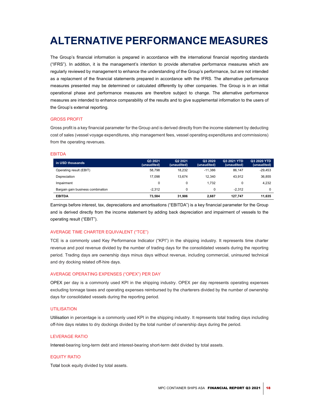# ALTERNATIVE PERFORMANCE MEASURES

The Group's financial information is prepared in accordance with the international financial reporting standards ("IFRS"). In addition, it is the management's intention to provide alternative performance measures which are regularly reviewed by management to enhance the understanding of the Group's performance, but are not intended as a replacment of the financial statements prepared in accordance with the IFRS. The alternative performance measures presented may be determined or calculated differently by other companies. The Group is in an initial operational phase and performance measures are therefore subject to change. The alternative performance measures are intended to enhance comparability of the results and to give supplemental information to the users of the Group's external reporting.

## GROSS PROFIT

Gross profit is a key financial parameter for the Group and is derived directly from the income statement by deducting cost of sales (vessel voyage expenditures, ship management fees, vessel operating expenditures and commissions) from the operating revenues.

## EBITDA

| in USD thousands                  | Q3 2021<br>(unaudited) | Q2 2021<br>(unaudited) | Q3 2020<br>(unaudited) | Q3 2021 YTD<br>(unaudited) | Q3 2020 YTD<br>(unaudited) |
|-----------------------------------|------------------------|------------------------|------------------------|----------------------------|----------------------------|
| Operating result (EBIT)           | 58.798                 | 18.232                 | $-11.386$              | 86.147                     | $-29,453$                  |
| Depreciation                      | 17.098                 | 13.674                 | 12.340                 | 43.912                     | 36,855                     |
| Impairment                        | 0                      |                        | 1.732                  |                            | 4.232                      |
| Bargain gain business combination | $-2.312$               | 0                      | 0                      | $-2.312$                   |                            |
| <b>EBITDA</b>                     | 73.584                 | 31.906                 | 2.687                  | 127.747                    | 11.635                     |

Earnings before interest, tax, depreciations and amortisations ("EBITDA") is a key financial parameter for the Group and is derived directly from the income statement by adding back depreciation and impairment of vessels to the operating result ("EBIT").

# AVERAGE TIME CHARTER EQUIVALENT ("TCE")

TCE is a commonly used Key Performance Indicator ("KPI") in the shipping industry. It represents time charter revenue and pool revenue divided by the number of trading days for the consolidated vessels during the reporting period. Trading days are ownership days minus days without revenue, including commercial, uninsured technical and dry docking related off-hire days.

## AVERAGE OPERATING EXPENSES ("OPEX") PER DAY

OPEX per day is a commonly used KPI in the shipping industry. OPEX per day represents operating expenses excluding tonnage taxes and operating expenses reimbursed by the charterers divided by the number of ownership days for consolidated vessels during the reporting period.

## **UTILISATION**

Utilisation in percentage is a commonly used KPI in the shipping industry. It represents total trading days including off-hire days relates to dry dockings divided by the total number of ownership days during the period.

# LEVERAGE RATIO

Interest-bearing long-term debt and interest-bearing short-term debt divided by total assets.

## EQUITY RATIO

Total book equity divided by total assets.